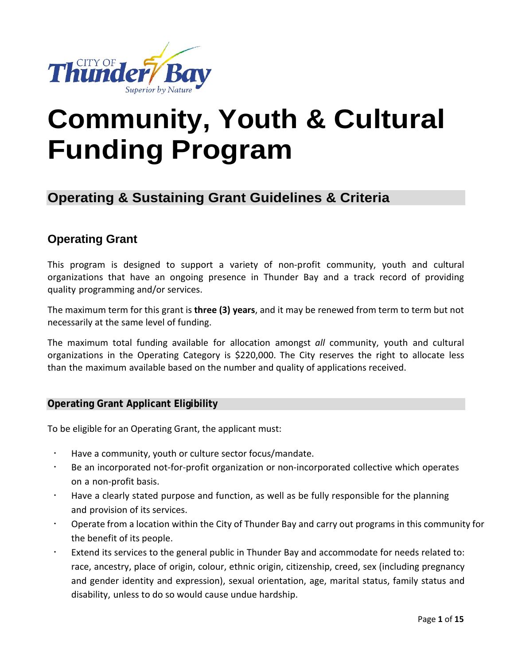

# **Community, Youth & Cultural Funding Program**

# **Operating & Sustaining Grant Guidelines & Criteria**

# **Operating Grant**

This program is designed to support a variety of non-profit community, youth and cultural organizations that have an ongoing presence in Thunder Bay and a track record of providing quality programming and/or services.

The maximum term for this grant is **three (3) years**, and it may be renewed from term to term but not necessarily at the same level of funding.

The maximum total funding available for allocation amongst *all* community, youth and cultural organizations in the Operating Category is \$220,000. The City reserves the right to allocate less than the maximum available based on the number and quality of applications received.

## **Operating Grant Applicant Eligibility**

To be eligible for an Operating Grant, the applicant must:

- Have a community, youth or culture sector focus/mandate.
- Be an incorporated not-for-profit organization or non-incorporated collective which operates on a non-profit basis.
- Have a clearly stated purpose and function, as well as be fully responsible for the planning and provision of its services.
- Operate from a location within the City of Thunder Bay and carry out programs in this community for the benefit of its people.
- Extend its services to the general public in Thunder Bay and accommodate for needs related to: race, ancestry, place of origin, colour, ethnic origin, citizenship, creed, sex (including pregnancy and gender identity and expression), sexual orientation, age, marital status, family status and disability, unless to do so would cause undue hardship.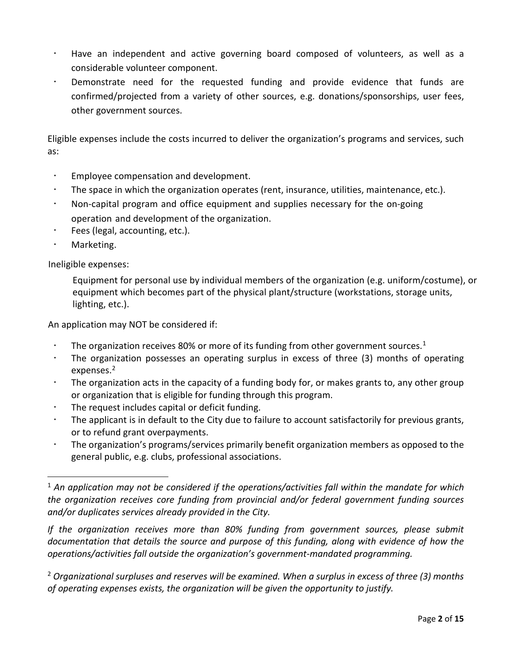- Have an independent and active governing board composed of volunteers, as well as a considerable volunteer component.
- Demonstrate need for the requested funding and provide evidence that funds are confirmed/projected from a variety of other sources, e.g. donations/sponsorships, user fees, other government sources.

Eligible expenses include the costs incurred to deliver the organization's programs and services, such as:

- Employee compensation and development.
- The space in which the organization operates (rent, insurance, utilities, maintenance, etc.).
- Non-capital program and office equipment and supplies necessary for the on-going operation and development of the organization.
- Fees (legal, accounting, etc.).
- Marketing.

Ineligible expenses:

Equipment for personal use by individual members of the organization (e.g. uniform/costume), or equipment which becomes part of the physical plant/structure (workstations, storage units, lighting, etc.).

An application may NOT be considered if:

- The organization receives 80% or more of its funding from other government sources.<sup>[1](#page-1-0)</sup>
- The organization possesses an operating surplus in excess of three (3) months of operating expenses.<sup>[2](#page-1-1)</sup>
- The organization acts in the capacity of a funding body for, or makes grants to, any other group or organization that is eligible for funding through this program.
- The request includes capital or deficit funding.
- The applicant is in default to the City due to failure to account satisfactorily for previous grants, or to refund grant overpayments.
- The organization's programs/services primarily benefit organization members as opposed to the general public, e.g. clubs, professional associations.

*If the organization receives more than 80% funding from government sources, please submit documentation that details the source and purpose of this funding, along with evidence of how the operations/activities fall outside the organization's government-mandated programming.*

<span id="page-1-1"></span><sup>2</sup> *Organizational surpluses and reserves will be examined. When a surplus in excess of three (3) months of operating expenses exists, the organization will be given the opportunity to justify.*

<span id="page-1-0"></span><sup>1</sup> *An application may not be considered if the operations/activities fall within the mandate for which the organization receives core funding from provincial and/or federal government funding sources and/or duplicates services already provided in the City.*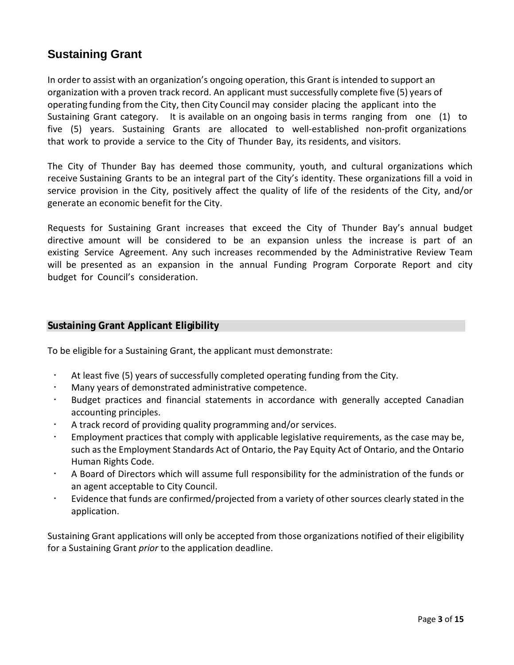# **Sustaining Grant**

In order to assist with an organization's ongoing operation, this Grant is intended to support an organization with a proven track record. An applicant must successfully complete five (5) years of operating funding from the City, then City Council may consider placing the applicant into the Sustaining Grant category. It is available on an ongoing basis in terms ranging from one (1) to five (5) years. Sustaining Grants are allocated to well-established non-profit organizations that work to provide a service to the City of Thunder Bay, its residents, and visitors.

The City of Thunder Bay has deemed those community, youth, and cultural organizations which receive Sustaining Grants to be an integral part of the City's identity. These organizations fill a void in service provision in the City, positively affect the quality of life of the residents of the City, and/or generate an economic benefit for the City.

Requests for Sustaining Grant increases that exceed the City of Thunder Bay's annual budget directive amount will be considered to be an expansion unless the increase is part of an existing Service Agreement. Any such increases recommended by the Administrative Review Team will be presented as an expansion in the annual Funding Program Corporate Report and city budget for Council's consideration.

## **Sustaining Grant Applicant Eligibility**

To be eligible for a Sustaining Grant, the applicant must demonstrate:

- At least five (5) years of successfully completed operating funding from the City.
- Many years of demonstrated administrative competence.
- Budget practices and financial statements in accordance with generally accepted Canadian accounting principles.
- A track record of providing quality programming and/or services.
- Employment practices that comply with applicable legislative requirements, as the case may be, such as the Employment Standards Act of Ontario, the Pay Equity Act of Ontario, and the Ontario Human Rights Code.
- A Board of Directors which will assume full responsibility for the administration of the funds or an agent acceptable to City Council.
- Evidence that funds are confirmed/projected from a variety of other sources clearly stated in the application.

Sustaining Grant applications will only be accepted from those organizations notified of their eligibility for a Sustaining Grant *prior* to the application deadline.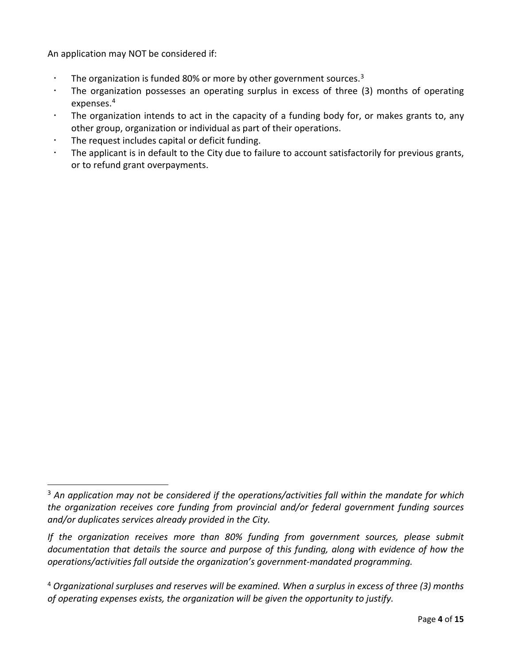An application may NOT be considered if:

- The organization is funded 80% or more by other government sources. $3$
- The organization possesses an operating surplus in excess of three (3) months of operating expenses.[4](#page-3-1)
- The organization intends to act in the capacity of a funding body for, or makes grants to, any other group, organization or individual as part of their operations.
- The request includes capital or deficit funding.
- The applicant is in default to the City due to failure to account satisfactorily for previous grants, or to refund grant overpayments.

<span id="page-3-0"></span><sup>3</sup> *An application may not be considered if the operations/activities fall within the mandate for which the organization receives core funding from provincial and/or federal government funding sources and/or duplicates services already provided in the City.* 

*If the organization receives more than 80% funding from government sources, please submit documentation that details the source and purpose of this funding, along with evidence of how the operations/activities fall outside the organization's government-mandated programming.*

<span id="page-3-1"></span><sup>4</sup> *Organizational surpluses and reserves will be examined. When a surplus in excess of three (3) months of operating expenses exists, the organization will be given the opportunity to justify.*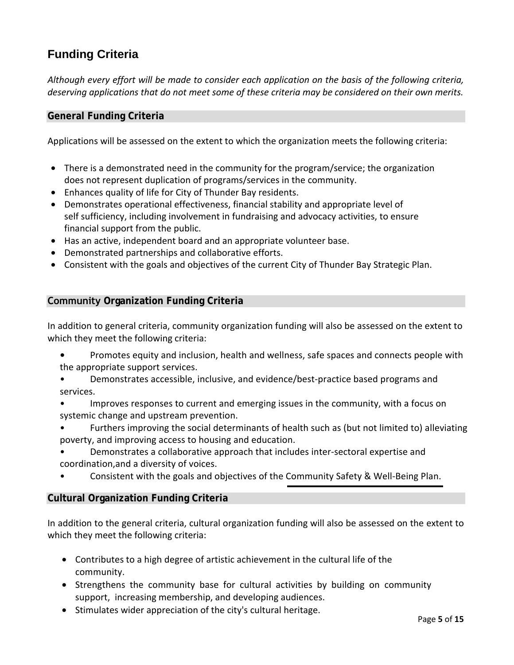# **Funding Criteria**

*Although every effort will be made to consider each application on the basis of the following criteria, deserving applications that do not meet some of these criteria may be considered on their own merits.*

# **General Funding Criteria**

Applications will be assessed on the extent to which the organization meets the following criteria:

- There is a demonstrated need in the community for the program/service; the organization does not represent duplication of programs/services in the community.
- Enhances quality of life for City of Thunder Bay residents.
- Demonstrates operational effectiveness, financial stability and appropriate level of self sufficiency, including involvement in fundraising and advocacy activities, to ensure financial support from the public.
- Has an active, independent board and an appropriate volunteer base.
- Demonstrated partnerships and collaborative efforts.
- Consistent with the goals and objectives of the current City of Thunder Bay Strategic Plan.

# **Community Organization Funding Criteria**

In addition to general criteria, community organization funding will also be assessed on the extent to which they meet the following criteria:

- Promotes equity and inclusion, health and wellness, safe spaces and connects people with the appropriate support services.
- Demonstrates accessible, inclusive, and evidence/best-practice based programs and services.
- Improves responses to current and emerging issues in the community, with a focus on systemic change and upstream prevention.
- Furthers improving the social determinants of health such as (but not limited to) alleviating poverty, and improving access to housing and education.
- Demonstrates a collaborative approach that includes inter-sectoral expertise and coordination,and a diversity of voices.
- Consistent with the goals and objectives of the [Community Safety & Well-Being Plan.](https://www.thunderbay.ca/en/city-services/community-safety-well-being-plan.aspx)

## **Cultural Organization Funding Criteria**

In addition to the general criteria, cultural organization funding will also be assessed on the extent to which they meet the following criteria:

- Contributes to a high degree of artistic achievement in the cultural life of the community.
- Strengthens the community base for cultural activities by building on community support, increasing membership, and developing audiences.
- Stimulates wider appreciation of the city's cultural heritage.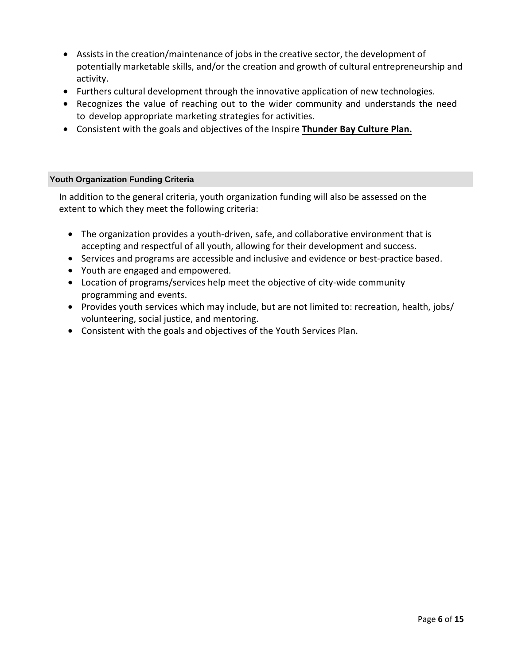- Assists in the creation/maintenance of jobs in the creative sector, the development of potentially marketable skills, and/or the creation and growth of cultural entrepreneurship and activity.
- Furthers cultural development through the innovative application of new technologies.
- Recognizes the value of reaching out to the wider community and understands the need to develop appropriate marketing strategies for activities.
- Consistent with the goals and objectives of the Inspire **[Thunder Bay](https://www.thunderbay.ca/en/city-hall/culture-plan.aspx) Culture Plan.**

#### **Youth Organization Funding Criteria**

In addition to the general criteria, youth organization funding will also be assessed on the extent to which they meet the following criteria:

- The organization provides a youth-driven, safe, and collaborative environment that is accepting and respectful of all youth, allowing for their development and success.
- Services and programs are accessible and inclusive and evidence or best-practice based.
- Youth are engaged and empowered.
- Location of programs/services help meet the objective of city-wide community programming and events.
- Provides youth services which may include, but are not limited to: recreation, health, jobs/ volunteering, social justice, and mentoring.
- Consistent with the goals and objectives of the Youth Services Plan.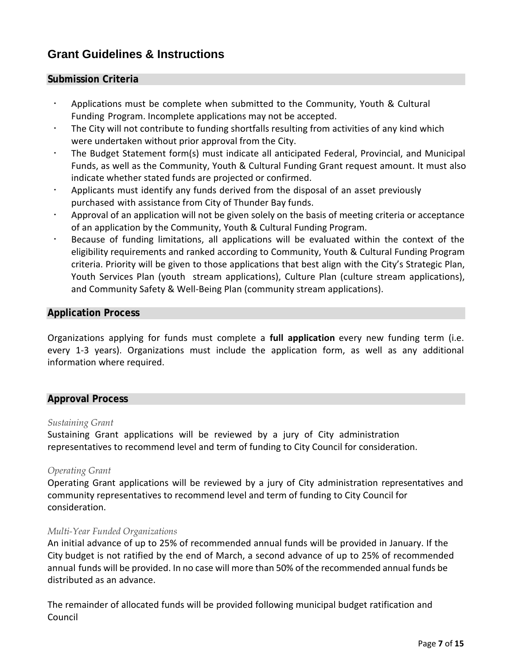# **Grant Guidelines & Instructions**

#### **Submission Criteria**

- Applications must be complete when submitted to the Community, Youth & Cultural Funding Program. Incomplete applications may not be accepted.
- The City will not contribute to funding shortfalls resulting from activities of any kind which were undertaken without prior approval from the City.
- The Budget Statement form(s) must indicate all anticipated Federal, Provincial, and Municipal Funds, as well as the Community, Youth & Cultural Funding Grant request amount. It must also indicate whether stated funds are projected or confirmed.
- Applicants must identify any funds derived from the disposal of an asset previously purchased with assistance from City of Thunder Bay funds.
- Approval of an application will not be given solely on the basis of meeting criteria or acceptance of an application by the Community, Youth & Cultural Funding Program.
- Because of funding limitations, all applications will be evaluated within the context of the eligibility requirements and ranked according to Community, Youth & Cultural Funding Program criteria. Priority will be given to those applications that best align with the City's Strategic Plan, Youth Services Plan (youth stream applications), Culture Plan (culture stream applications), and Community Safety & Well-Being Plan (community stream applications).

#### **Application Process**

Organizations applying for funds must complete a **full application** every new funding term (i.e. every 1-3 years). Organizations must include the application form, as well as any additional information where required.

## **Approval Process**

#### *Sustaining Grant*

Sustaining Grant applications will be reviewed by a jury of City administration representatives to recommend level and term of funding to City Council for consideration.

#### *Operating Grant*

Operating Grant applications will be reviewed by a jury of City administration representatives and community representatives to recommend level and term of funding to City Council for consideration.

#### *Multi-Year Funded Organizations*

An initial advance of up to 25% of recommended annual funds will be provided in January. If the City budget is not ratified by the end of March, a second advance of up to 25% of recommended annual funds will be provided. In no case will more than 50% of the recommended annual funds be distributed as an advance.

The remainder of allocated funds will be provided following municipal budget ratification and Council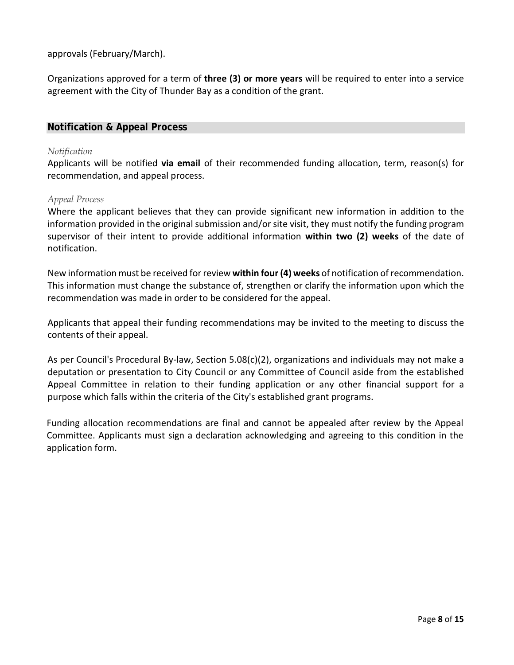approvals (February/March).

Organizations approved for a term of **three (3) or more years** will be required to enter into a service agreement with the City of Thunder Bay as a condition of the grant.

# **Notification & Appeal Process**

#### *Notification*

Applicants will be notified **via email** of their recommended funding allocation, term, reason(s) for recommendation, and appeal process.

#### *Appeal Process*

Where the applicant believes that they can provide significant new information in addition to the information provided in the original submission and/or site visit, they must notify the funding program supervisor of their intent to provide additional information **within two (2) weeks** of the date of notification.

New information must be received for review **within four (4) weeks** of notification of recommendation. This information must change the substance of, strengthen or clarify the information upon which the recommendation was made in order to be considered for the appeal.

Applicants that appeal their funding recommendations may be invited to the meeting to discuss the contents of their appeal.

As per Council's Procedural By-law, Section 5.08(c)(2), organizations and individuals may not make a deputation or presentation to City Council or any Committee of Council aside from the established Appeal Committee in relation to their funding application or any other financial support for a purpose which falls within the criteria of the City's established grant programs.

Funding allocation recommendations are final and cannot be appealed after review by the Appeal Committee. Applicants must sign a declaration acknowledging and agreeing to this condition in the application form.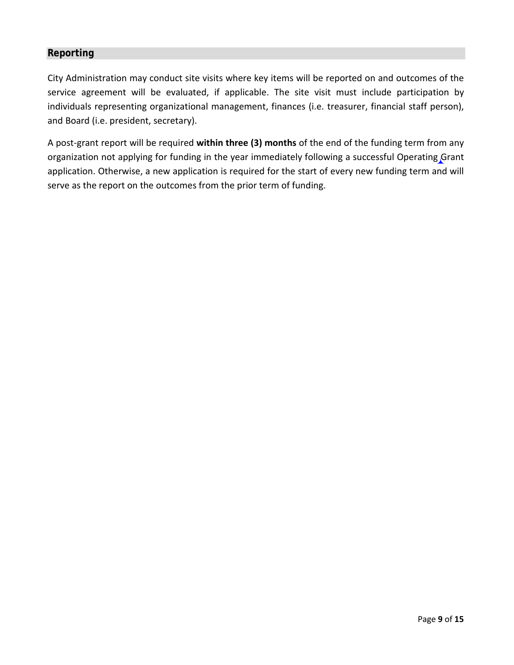# **Reporting**

City Administration may conduct site visits where key items will be reported on and outcomes of the service agreement will be evaluated, if applicable. The site visit must include participation by individuals representing organizational management, finances (i.e. treasurer, financial staff person), and Board (i.e. president, secretary).

A post-grant report will be required **within three (3) months** of the end of the funding term from any organization not applying for funding in the year immediately following a successful Operating Grant application. Otherwise, a new application is required for the start of every new funding term and will serve as the report on the outcomes from the prior term of funding.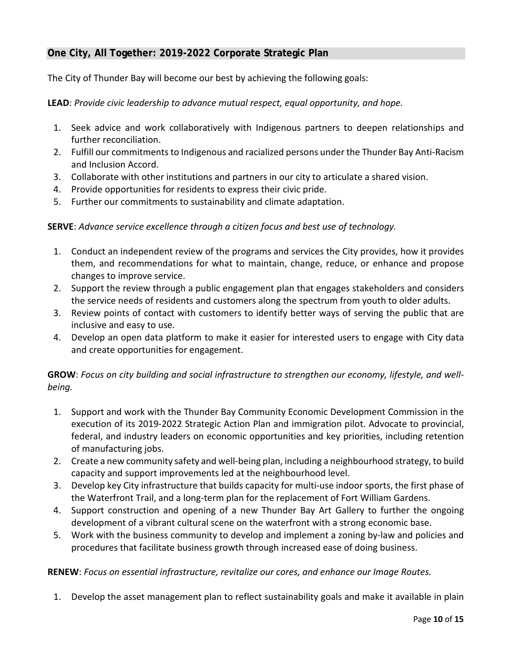# **One City, All Together: 2019-2022 Corporate Strategic Plan**

The City of Thunder Bay will become our best by achieving the following goals:

**LEAD**: *Provide civic leadership to advance mutual respect, equal opportunity, and hope.*

- 1. Seek advice and work collaboratively with Indigenous partners to deepen relationships and further reconciliation.
- 2. Fulfill our commitments to Indigenous and racialized persons under the Thunder Bay Anti-Racism and Inclusion Accord.
- 3. Collaborate with other institutions and partners in our city to articulate a shared vision.
- 4. Provide opportunities for residents to express their civic pride.
- 5. Further our commitments to sustainability and climate adaptation.

## **SERVE**: *Advance service excellence through a citizen focus and best use of technology.*

- 1. Conduct an independent review of the programs and services the City provides, how it provides them, and recommendations for what to maintain, change, reduce, or enhance and propose changes to improve service.
- 2. Support the review through a public engagement plan that engages stakeholders and considers the service needs of residents and customers along the spectrum from youth to older adults.
- 3. Review points of contact with customers to identify better ways of serving the public that are inclusive and easy to use.
- 4. Develop an open data platform to make it easier for interested users to engage with City data and create opportunities for engagement.

**GROW**: *Focus on city building and social infrastructure to strengthen our economy, lifestyle, and wellbeing.* 

- 1. Support and work with the Thunder Bay Community Economic Development Commission in the execution of its 2019-2022 Strategic Action Plan and immigration pilot. Advocate to provincial, federal, and industry leaders on economic opportunities and key priorities, including retention of manufacturing jobs.
- 2. Create a new community safety and well-being plan, including a neighbourhood strategy, to build capacity and support improvements led at the neighbourhood level.
- 3. Develop key City infrastructure that builds capacity for multi-use indoor sports, the first phase of the Waterfront Trail, and a long-term plan for the replacement of Fort William Gardens.
- 4. Support construction and opening of a new Thunder Bay Art Gallery to further the ongoing development of a vibrant cultural scene on the waterfront with a strong economic base.
- 5. Work with the business community to develop and implement a zoning by-law and policies and procedures that facilitate business growth through increased ease of doing business.

**RENEW**: *Focus on essential infrastructure, revitalize our cores, and enhance our Image Routes.*

1. Develop the asset management plan to reflect sustainability goals and make it available in plain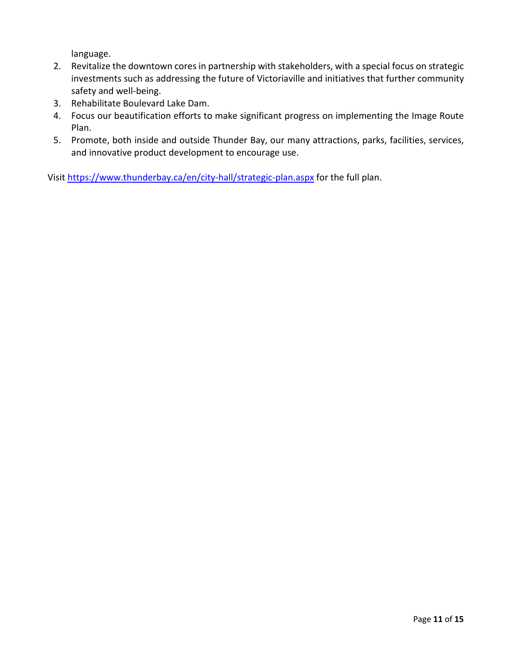language.

- 2. Revitalize the downtown cores in partnership with stakeholders, with a special focus on strategic investments such as addressing the future of Victoriaville and initiatives that further community safety and well-being.
- 3. Rehabilitate Boulevard Lake Dam.
- 4. Focus our beautification efforts to make significant progress on implementing the Image Route Plan.
- 5. Promote, both inside and outside Thunder Bay, our many attractions, parks, facilities, services, and innovative product development to encourage use.

Visit <https://www.thunderbay.ca/en/city-hall/strategic-plan.aspx> for the full plan.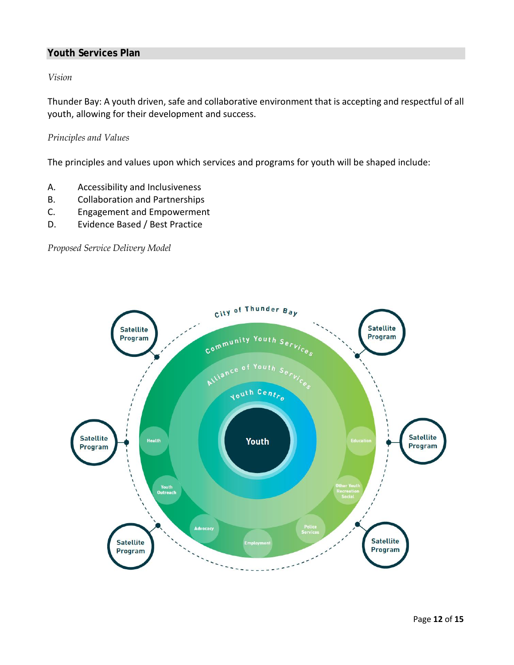# **Youth Services Plan**

*Vision*

Thunder Bay: A youth driven, safe and collaborative environment that is accepting and respectful of all youth, allowing for their development and success.

#### *Principles and Values*

The principles and values upon which services and programs for youth will be shaped include:

- A. Accessibility and Inclusiveness
- B. Collaboration and Partnerships
- C. Engagement and Empowerment
- D. Evidence Based / Best Practice

*Proposed Service Delivery Model*

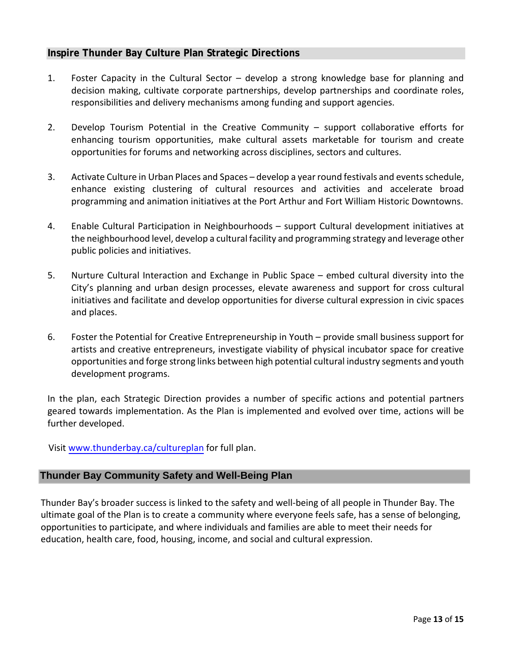# **Inspire Thunder Bay Culture Plan Strategic Directions**

- 1. Foster Capacity in the Cultural Sector develop a strong knowledge base for planning and decision making, cultivate corporate partnerships, develop partnerships and coordinate roles, responsibilities and delivery mechanisms among funding and support agencies.
- 2. Develop Tourism Potential in the Creative Community support collaborative efforts for enhancing tourism opportunities, make cultural assets marketable for tourism and create opportunities for forums and networking across disciplines, sectors and cultures.
- 3. Activate Culture in Urban Places and Spaces develop a year round festivals and events schedule, enhance existing clustering of cultural resources and activities and accelerate broad programming and animation initiatives at the Port Arthur and Fort William Historic Downtowns.
- 4. Enable Cultural Participation in Neighbourhoods support Cultural development initiatives at the neighbourhood level, develop a cultural facility and programming strategy and leverage other public policies and initiatives.
- 5. Nurture Cultural Interaction and Exchange in Public Space embed cultural diversity into the City's planning and urban design processes, elevate awareness and support for cross cultural initiatives and facilitate and develop opportunities for diverse cultural expression in civic spaces and places.
- 6. Foster the Potential for Creative Entrepreneurship in Youth provide small business support for artists and creative entrepreneurs, investigate viability of physical incubator space for creative opportunities and forge strong links between high potential cultural industry segments and youth development programs.

In the plan, each Strategic Direction provides a number of specific actions and potential partners geared towards implementation. As the Plan is implemented and evolved over time, actions will be further developed.

Visit [www.thunderbay.ca/cultureplan](http://www.thunderbay.ca/cultureplan) for full plan.

# **Thunder Bay Community Safety and Well-Being Plan**

Thunder Bay's broader success is linked to the safety and well-being of all people in Thunder Bay. The ultimate goal of the Plan is to create a community where everyone feels safe, has a sense of belonging, opportunities to participate, and where individuals and families are able to meet their needs for education, health care, food, housing, income, and social and cultural expression.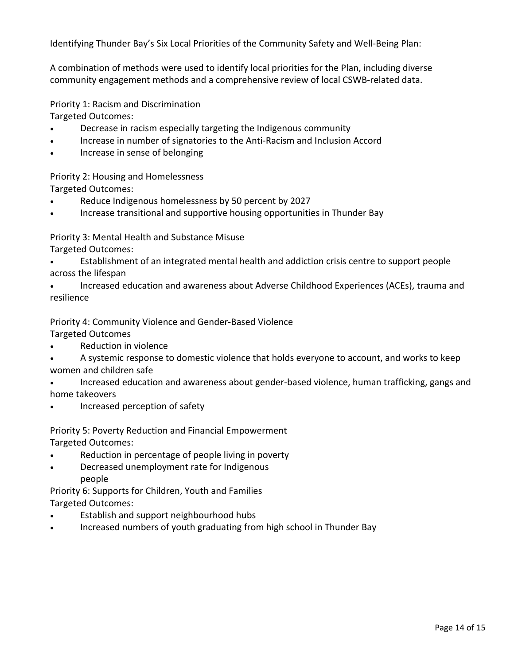Identifying Thunder Bay's Six Local Priorities of the Community Safety and Well-Being Plan:

A combination of methods were used to identify local priorities for the Plan, including diverse community engagement methods and a comprehensive review of local CSWB-related data.

Priority 1: Racism and Discrimination

Targeted Outcomes:

- Decrease in racism especially targeting the Indigenous community
- Increase in number of signatories to the Anti-Racism and Inclusion Accord
- Increase in sense of belonging

Priority 2: Housing and Homelessness Targeted Outcomes:

- Reduce Indigenous homelessness by 50 percent by 2027
- Increase transitional and supportive housing opportunities in Thunder Bay

Priority 3: Mental Health and Substance Misuse

- Targeted Outcomes:
- Establishment of an integrated mental health and addiction crisis centre to support people across the lifespan
- Increased education and awareness about Adverse Childhood Experiences (ACEs), trauma and resilience

Priority 4: Community Violence and Gender-Based Violence

Targeted Outcomes

- Reduction in violence
- A systemic response to domestic violence that holds everyone to account, and works to keep women and children safe
- Increased education and awareness about gender-based violence, human trafficking, gangs and home takeovers
- Increased perception of safety
- Priority 5: Poverty Reduction and Financial Empowerment Targeted Outcomes:
- Reduction in percentage of people living in poverty
- Decreased unemployment rate for Indigenous people

Priority 6: Supports for Children, Youth and Families Targeted Outcomes:

- Establish and support neighbourhood hubs
- Increased numbers of youth graduating from high school in Thunder Bay